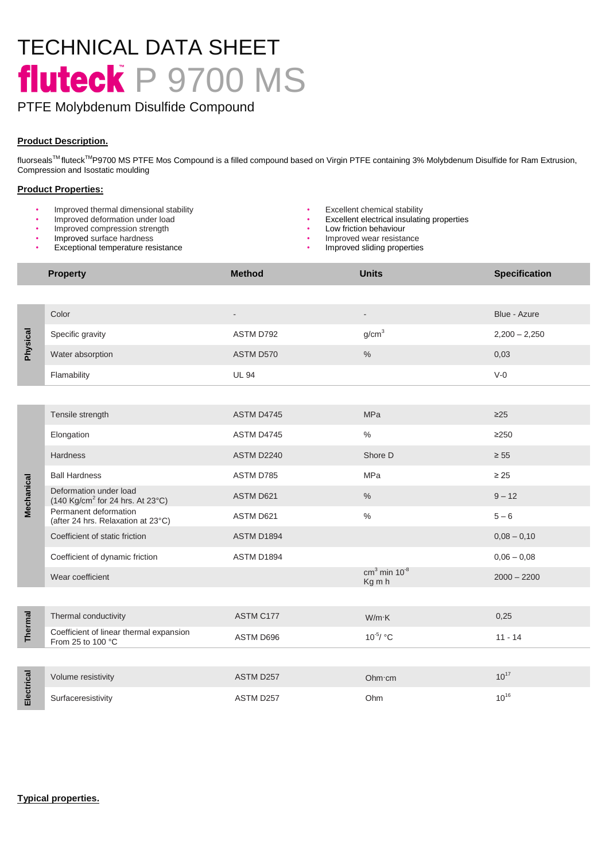# TECHNICAL DATA SHEET fluteck P 9700 MS

## PTFE Molybdenum Disulfide Compound

## **Product Description.**

fluorseals™ fluteck<sup>™</sup>P9700 MS PTFE Mos Compound is a filled compound based on Virgin PTFE containing 3% Molybdenum Disulfide for Ram Extrusion, Compression and Isostatic moulding

## **Product Properties:**

- Improved thermal dimensional stability **•** Excellent chemical stability **•** Excellent chemical stability **•** Excellent electrical insulating
- 
- Improved compression strength
- Improved surface hardness
- Exceptional temperature resistance
- 
- **Excellent electrical insulating properties**
- Low friction behaviour<br>• Improved wear resista
- Improved wear resistance<br>Improved sliding properties
- 

|                            | <b>Property</b>                                                                                       | <b>Method</b>     | <b>Units</b>                         | <b>Specification</b> |
|----------------------------|-------------------------------------------------------------------------------------------------------|-------------------|--------------------------------------|----------------------|
|                            |                                                                                                       |                   |                                      |                      |
| <b>Physical</b>            | Color                                                                                                 |                   | $\overline{\phantom{a}}$             | Blue - Azure         |
|                            | Specific gravity                                                                                      | ASTM D792         | g/cm <sup>3</sup>                    | $2,200 - 2,250$      |
|                            | Water absorption                                                                                      | ASTM D570         | $\%$                                 | 0,03                 |
|                            | Flamability                                                                                           | <b>UL 94</b>      |                                      | $V-0$                |
|                            |                                                                                                       |                   |                                      |                      |
| Mechanical                 | Tensile strength                                                                                      | <b>ASTM D4745</b> | <b>MPa</b>                           | $\geq$ 25            |
|                            | Elongation                                                                                            | ASTM D4745        | $\%$                                 | $\geq$ 250           |
|                            | Hardness                                                                                              | <b>ASTM D2240</b> | Shore D                              | $\geq 55$            |
|                            | <b>Ball Hardness</b>                                                                                  | ASTM D785         | MPa                                  | $\geq 25$            |
|                            | Deformation under load<br>$(140 \text{ Kg/cm}^2 \text{ for } 24 \text{ hrs. At } 23^{\circ}\text{C})$ | ASTM D621         | $\%$                                 | $9 - 12$             |
|                            | Permanent deformation<br>(after 24 hrs. Relaxation at 23°C)                                           | ASTM D621         | $\%$                                 | $5 - 6$              |
|                            | Coefficient of static friction                                                                        | ASTM D1894        |                                      | $0,08 - 0,10$        |
|                            | Coefficient of dynamic friction                                                                       | ASTM D1894        |                                      | $0,06 - 0,08$        |
|                            | Wear coefficient                                                                                      |                   | $cm3$ min 10 <sup>-8</sup><br>Kg m h | $2000 - 2200$        |
|                            |                                                                                                       |                   |                                      |                      |
| Thermal                    | Thermal conductivity                                                                                  | ASTM C177         | $W/m$ K                              | 0,25                 |
|                            | Coefficient of linear thermal expansion<br>From 25 to 100 °C                                          | ASTM D696         | $10^{-5} / °C$                       | $11 - 14$            |
|                            |                                                                                                       |                   |                                      |                      |
| Electrical                 | Volume resistivity                                                                                    | ASTM D257         | Ohm·cm                               | $10^{17}$            |
|                            | Surfaceresistivity                                                                                    | ASTM D257         | Ohm                                  | $10^{16}$            |
|                            |                                                                                                       |                   |                                      |                      |
|                            |                                                                                                       |                   |                                      |                      |
|                            |                                                                                                       |                   |                                      |                      |
|                            |                                                                                                       |                   |                                      |                      |
| <b>Typical properties.</b> |                                                                                                       |                   |                                      |                      |